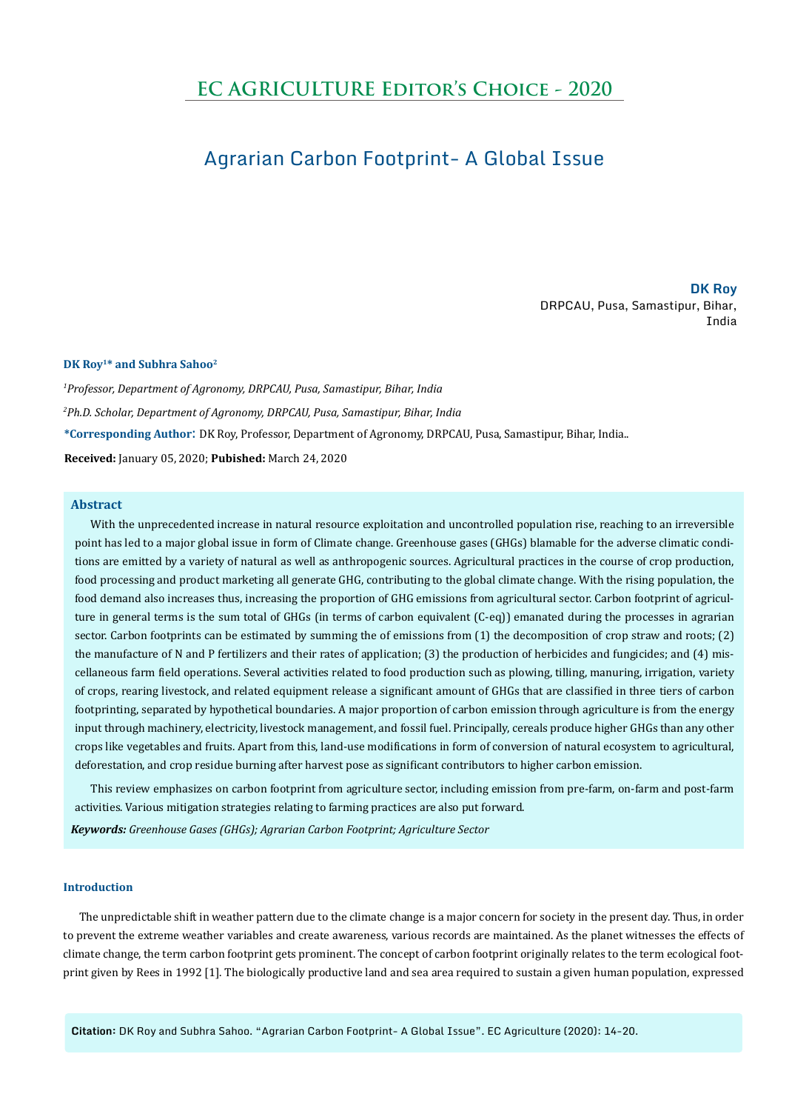# **EC AGRICULTURE Editor's Choice - 2020**

# Agrarian Carbon Footprint- A Global Issue

**DK Roy** DRPCAU, Pusa, Samastipur, Bihar, India

## **DK Roy1\* and Subhra Sahoo2**

*1 Professor, Department of Agronomy, DRPCAU, Pusa, Samastipur, Bihar, India 2 Ph.D. Scholar, Department of Agronomy, DRPCAU, Pusa, Samastipur, Bihar, India* **\*Corresponding Author**: DK Roy, Professor, Department of Agronomy, DRPCAU, Pusa, Samastipur, Bihar, India.. **Received:** January 05, 2020; **Pubished:** March 24, 2020

## **Abstract**

With the unprecedented increase in natural resource exploitation and uncontrolled population rise, reaching to an irreversible point has led to a major global issue in form of Climate change. Greenhouse gases (GHGs) blamable for the adverse climatic conditions are emitted by a variety of natural as well as anthropogenic sources. Agricultural practices in the course of crop production, food processing and product marketing all generate GHG, contributing to the global climate change. With the rising population, the food demand also increases thus, increasing the proportion of GHG emissions from agricultural sector. Carbon footprint of agriculture in general terms is the sum total of GHGs (in terms of carbon equivalent (C-eq)) emanated during the processes in agrarian sector. Carbon footprints can be estimated by summing the of emissions from (1) the decomposition of crop straw and roots; (2) the manufacture of N and P fertilizers and their rates of application; (3) the production of herbicides and fungicides; and (4) miscellaneous farm field operations. Several activities related to food production such as plowing, tilling, manuring, irrigation, variety of crops, rearing livestock, and related equipment release a significant amount of GHGs that are classified in three tiers of carbon footprinting, separated by hypothetical boundaries. A major proportion of carbon emission through agriculture is from the energy input through machinery, electricity, livestock management, and fossil fuel. Principally, cereals produce higher GHGs than any other crops like vegetables and fruits. Apart from this, land-use modifications in form of conversion of natural ecosystem to agricultural, deforestation, and crop residue burning after harvest pose as significant contributors to higher carbon emission.

This review emphasizes on carbon footprint from agriculture sector, including emission from pre-farm, on-farm and post-farm activities. Various mitigation strategies relating to farming practices are also put forward.

*Keywords: Greenhouse Gases (GHGs); Agrarian Carbon Footprint; Agriculture Sector*

## **Introduction**

The unpredictable shift in weather pattern due to the climate change is a major concern for society in the present day. Thus, in order to prevent the extreme weather variables and create awareness, various records are maintained. As the planet witnesses the effects of climate change, the term carbon footprint gets prominent. The concept of carbon footprint originally relates to the term ecological footprint given by Rees in 1992 [1]. The biologically productive land and sea area required to sustain a given human population, expressed

**Citation:** DK Roy and Subhra Sahoo. "Agrarian Carbon Footprint- A Global Issue". EC Agriculture (2020): 14-20.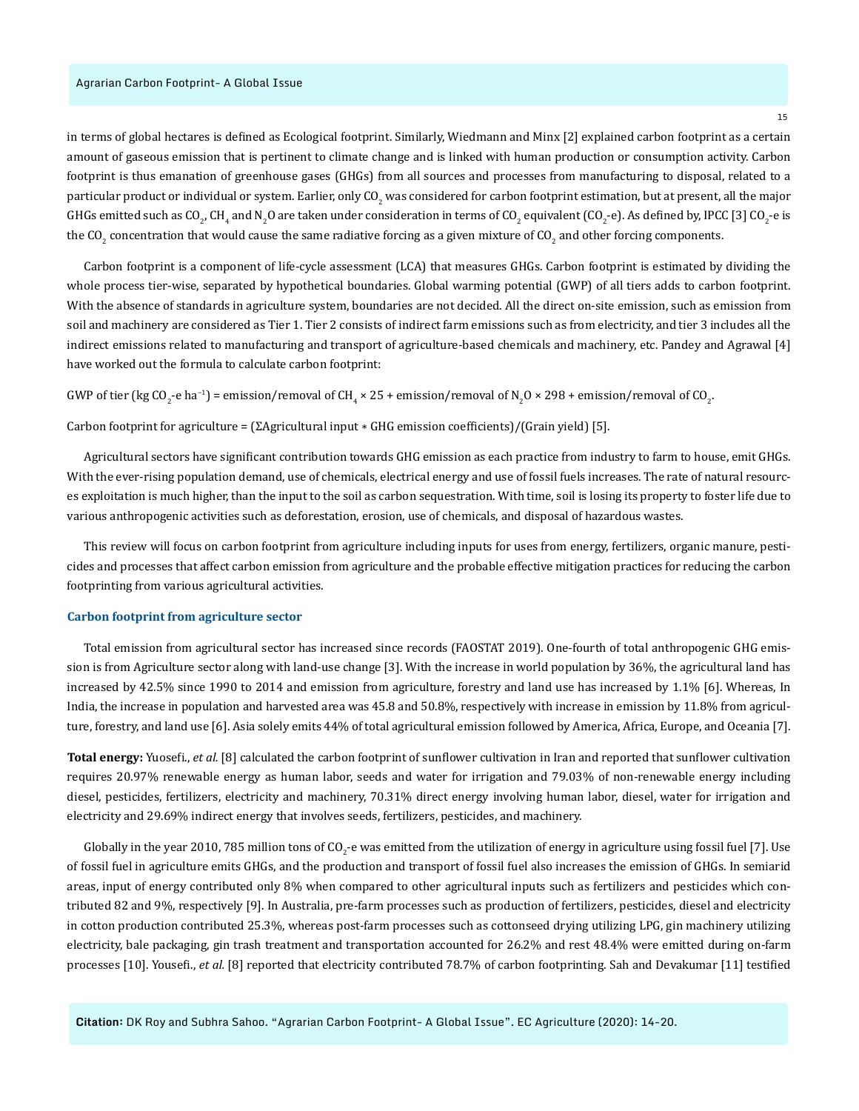in terms of global hectares is defined as Ecological footprint. Similarly, Wiedmann and Minx [2] explained carbon footprint as a certain amount of gaseous emission that is pertinent to climate change and is linked with human production or consumption activity. Carbon footprint is thus emanation of greenhouse gases (GHGs) from all sources and processes from manufacturing to disposal, related to a particular product or individual or system. Earlier, only CO<sub>2</sub> was considered for carbon footprint estimation, but at present, all the major GHGs emitted such as CO<sub>2</sub>, CH<sub>4</sub> and N<sub>2</sub>O are taken under consideration in terms of CO<sub>2</sub> equivalent (CO<sub>2</sub>-e). As defined by, IPCC [3] CO<sub>2</sub>-e is the CO<sub>2</sub> concentration that would cause the same radiative forcing as a given mixture of CO<sub>2</sub> and other forcing components.

Carbon footprint is a component of life-cycle assessment (LCA) that measures GHGs. Carbon footprint is estimated by dividing the whole process tier-wise, separated by hypothetical boundaries. Global warming potential (GWP) of all tiers adds to carbon footprint. With the absence of standards in agriculture system, boundaries are not decided. All the direct on-site emission, such as emission from soil and machinery are considered as Tier 1. Tier 2 consists of indirect farm emissions such as from electricity, and tier 3 includes all the indirect emissions related to manufacturing and transport of agriculture-based chemicals and machinery, etc. Pandey and Agrawal [4] have worked out the formula to calculate carbon footprint:

GWP of tier (kg CO<sub>2</sub>-e ha<sup>-1</sup>) = emission/removal of CH<sub>4</sub> × 25 + emission/removal of N<sub>2</sub>O × 298 + emission/removal of CO<sub>2</sub>.

Carbon footprint for agriculture =  $[\Sigma$ Agricultural input  $*$  GHG emission coefficients)/(Grain yield) [5].

Agricultural sectors have significant contribution towards GHG emission as each practice from industry to farm to house, emit GHGs. With the ever-rising population demand, use of chemicals, electrical energy and use of fossil fuels increases. The rate of natural resources exploitation is much higher, than the input to the soil as carbon sequestration. With time, soil is losing its property to foster life due to various anthropogenic activities such as deforestation, erosion, use of chemicals, and disposal of hazardous wastes.

This review will focus on carbon footprint from agriculture including inputs for uses from energy, fertilizers, organic manure, pesticides and processes that affect carbon emission from agriculture and the probable effective mitigation practices for reducing the carbon footprinting from various agricultural activities.

#### **Carbon footprint from agriculture sector**

Total emission from agricultural sector has increased since records (FAOSTAT 2019). One-fourth of total anthropogenic GHG emission is from Agriculture sector along with land-use change [3]. With the increase in world population by 36%, the agricultural land has increased by 42.5% since 1990 to 2014 and emission from agriculture, forestry and land use has increased by 1.1% [6]. Whereas, In India, the increase in population and harvested area was 45.8 and 50.8%, respectively with increase in emission by 11.8% from agriculture, forestry, and land use [6]. Asia solely emits 44% of total agricultural emission followed by America, Africa, Europe, and Oceania [7].

**Total energy:** Yuosefi., *et al.* [8] calculated the carbon footprint of sunflower cultivation in Iran and reported that sunflower cultivation requires 20.97% renewable energy as human labor, seeds and water for irrigation and 79.03% of non-renewable energy including diesel, pesticides, fertilizers, electricity and machinery, 70.31% direct energy involving human labor, diesel, water for irrigation and electricity and 29.69% indirect energy that involves seeds, fertilizers, pesticides, and machinery.

Globally in the year 2010, 785 million tons of CO<sub>2</sub>-e was emitted from the utilization of energy in agriculture using fossil fuel [7]. Use of fossil fuel in agriculture emits GHGs, and the production and transport of fossil fuel also increases the emission of GHGs. In semiarid areas, input of energy contributed only 8% when compared to other agricultural inputs such as fertilizers and pesticides which contributed 82 and 9%, respectively [9]. In Australia, pre-farm processes such as production of fertilizers, pesticides, diesel and electricity in cotton production contributed 25.3%, whereas post-farm processes such as cottonseed drying utilizing LPG, gin machinery utilizing electricity, bale packaging, gin trash treatment and transportation accounted for 26.2% and rest 48.4% were emitted during on-farm processes [10]. Yousefi., *et al.* [8] reported that electricity contributed 78.7% of carbon footprinting. Sah and Devakumar [11] testified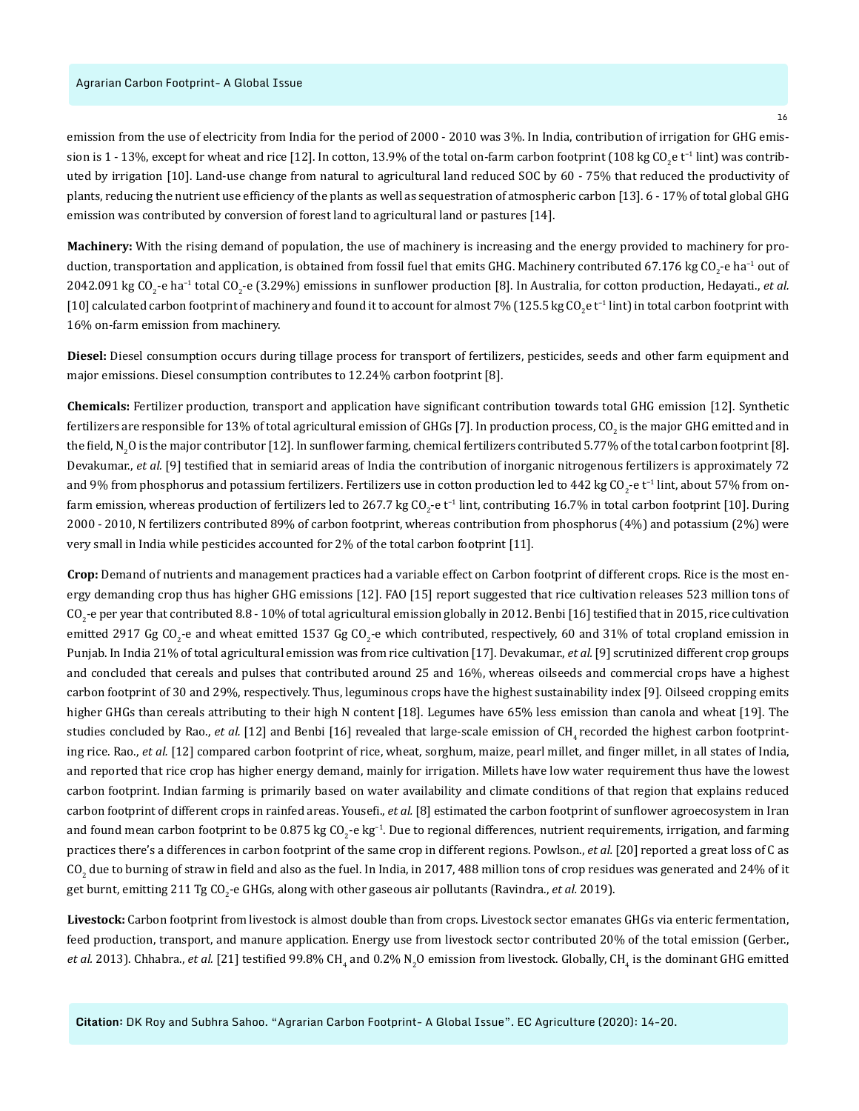### Agrarian Carbon Footprint- A Global Issue

emission from the use of electricity from India for the period of 2000 - 2010 was 3%. In India, contribution of irrigation for GHG emission is 1 - 13%, except for wheat and rice [12]. In cotton, 13.9% of the total on-farm carbon footprint (108 kg CO<sub>2</sub>e t<sup>-1</sup> lint) was contributed by irrigation [10]. Land-use change from natural to agricultural land reduced SOC by 60 - 75% that reduced the productivity of plants, reducing the nutrient use efficiency of the plants as well as sequestration of atmospheric carbon [13]. 6 - 17% of total global GHG emission was contributed by conversion of forest land to agricultural land or pastures [14].

**Machinery:** With the rising demand of population, the use of machinery is increasing and the energy provided to machinery for production, transportation and application, is obtained from fossil fuel that emits GHG. Machinery contributed 67.176 kg CO<sub>2</sub>-e ha<sup>-1</sup> out of 2042.091 kg CO<sub>2</sub>-e ha<sup>−1</sup> total CO<sub>2</sub>-e (3.29%) emissions in sunflower production [8]. In Australia, for cotton production, Hedayati., *et al.* [10] calculated carbon footprint of machinery and found it to account for almost 7% (125.5 kg CO<sub>2</sub>e t<sup>-1</sup> lint) in total carbon footprint with 16% on-farm emission from machinery.

**Diesel:** Diesel consumption occurs during tillage process for transport of fertilizers, pesticides, seeds and other farm equipment and major emissions. Diesel consumption contributes to 12.24% carbon footprint [8].

**Chemicals:** Fertilizer production, transport and application have significant contribution towards total GHG emission [12]. Synthetic fertilizers are responsible for 13% of total agricultural emission of GHGs [7]. In production process, CO<sub>2</sub> is the major GHG emitted and in the field, N<sub>2</sub>O is the major contributor [12]. In sunflower farming, chemical fertilizers contributed 5.77% of the total carbon footprint [8]. Devakumar., *et al.* [9] testified that in semiarid areas of India the contribution of inorganic nitrogenous fertilizers is approximately 72 and 9% from phosphorus and potassium fertilizers. Fertilizers use in cotton production led to 442 kg CO<sub>2</sub>-e t<sup>−1</sup> lint, about 57% from onfarm emission, whereas production of fertilizers led to 267.7 kg CO<sub>2</sub>-e t<sup>-1</sup> lint, contributing 16.7% in total carbon footprint [10]. During 2000 - 2010, N fertilizers contributed 89% of carbon footprint, whereas contribution from phosphorus (4%) and potassium (2%) were very small in India while pesticides accounted for 2% of the total carbon footprint [11].

**Crop:** Demand of nutrients and management practices had a variable effect on Carbon footprint of different crops. Rice is the most energy demanding crop thus has higher GHG emissions [12]. FAO [15] report suggested that rice cultivation releases 523 million tons of CO<sub>2</sub>-e per year that contributed 8.8 - 10% of total agricultural emission globally in 2012. Benbi [16] testified that in 2015, rice cultivation emitted 2917 Gg CO<sub>2</sub>-e and wheat emitted 1537 Gg CO<sub>2</sub>-e which contributed, respectively, 60 and 31% of total cropland emission in Punjab. In India 21% of total agricultural emission was from rice cultivation [17]. Devakumar., *et al.* [9] scrutinized different crop groups and concluded that cereals and pulses that contributed around 25 and 16%, whereas oilseeds and commercial crops have a highest carbon footprint of 30 and 29%, respectively. Thus, leguminous crops have the highest sustainability index [9]. Oilseed cropping emits higher GHGs than cereals attributing to their high N content [18]. Legumes have 65% less emission than canola and wheat [19]. The studies concluded by Rao., *et al.* [12] and Benbi [16] revealed that large-scale emission of CH<sub>4</sub> recorded the highest carbon footprinting rice. Rao., *et al.* [12] compared carbon footprint of rice, wheat, sorghum, maize, pearl millet, and finger millet, in all states of India, and reported that rice crop has higher energy demand, mainly for irrigation. Millets have low water requirement thus have the lowest carbon footprint. Indian farming is primarily based on water availability and climate conditions of that region that explains reduced carbon footprint of different crops in rainfed areas. Yousefi., *et al.* [8] estimated the carbon footprint of sunflower agroecosystem in Iran and found mean carbon footprint to be 0.875 kg CO<sub>2</sub>−e kg<sup>−1</sup>. Due to regional differences, nutrient requirements, irrigation, and farming practices there's a differences in carbon footprint of the same crop in different regions. Powlson., *et al.* [20] reported a great loss of C as CO<sub>2</sub> due to burning of straw in field and also as the fuel. In India, in 2017, 488 million tons of crop residues was generated and 24% of it get burnt, emitting 211 Tg CO<sub>2</sub>-e GHGs, along with other gaseous air pollutants (Ravindra., *et al.* 2019).

**Livestock:** Carbon footprint from livestock is almost double than from crops. Livestock sector emanates GHGs via enteric fermentation, feed production, transport, and manure application. Energy use from livestock sector contributed 20% of the total emission (Gerber., *et al.* 2013). Chhabra., *et al.* [21] testified 99.8% CH<sub>4</sub> and 0.2% N<sub>2</sub>O emission from livestock. Globally, CH<sub>4</sub> is the dominant GHG emitted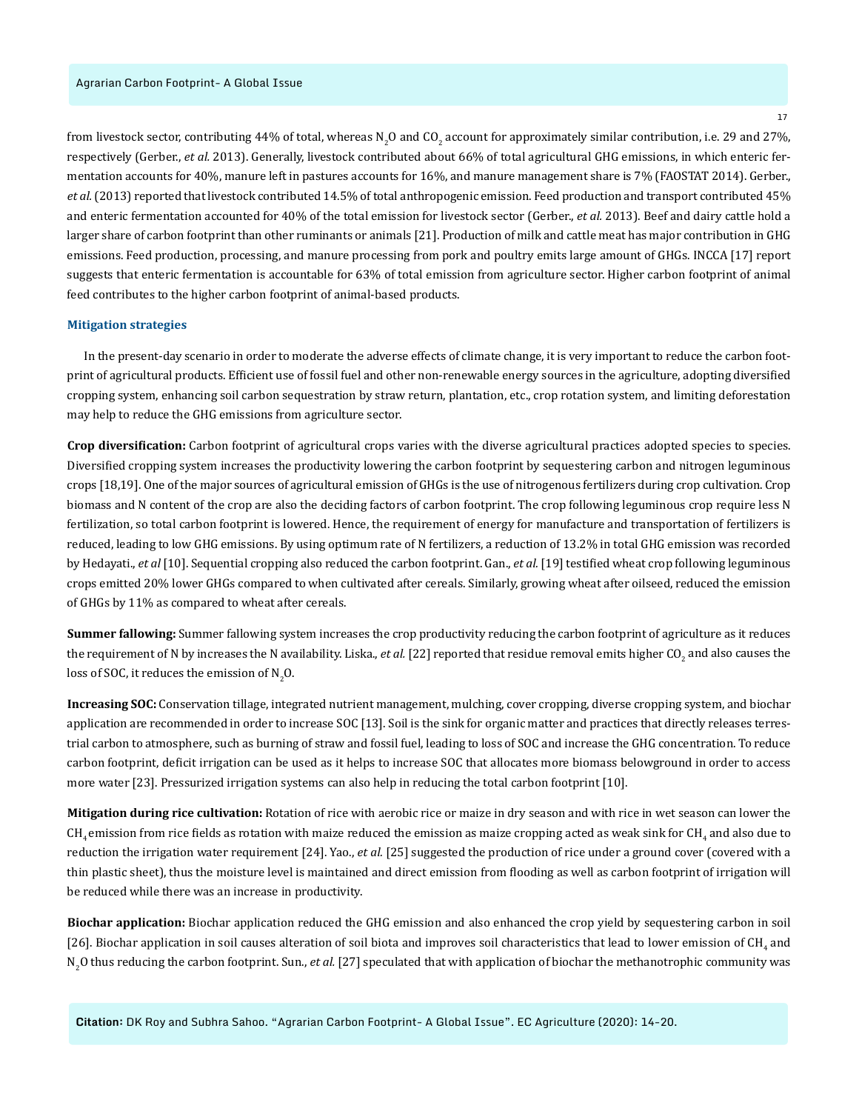from livestock sector, contributing 44% of total, whereas N<sub>2</sub>O and CO<sub>2</sub> account for approximately similar contribution, i.e. 29 and 27%, respectively (Gerber., *et al.* 2013). Generally, livestock contributed about 66% of total agricultural GHG emissions, in which enteric fermentation accounts for 40%, manure left in pastures accounts for 16%, and manure management share is 7% (FAOSTAT 2014). Gerber., *et al.* (2013) reported that livestock contributed 14.5% of total anthropogenic emission. Feed production and transport contributed 45% and enteric fermentation accounted for 40% of the total emission for livestock sector (Gerber., *et al.* 2013). Beef and dairy cattle hold a larger share of carbon footprint than other ruminants or animals [21]. Production of milk and cattle meat has major contribution in GHG emissions. Feed production, processing, and manure processing from pork and poultry emits large amount of GHGs. INCCA [17] report suggests that enteric fermentation is accountable for 63% of total emission from agriculture sector. Higher carbon footprint of animal feed contributes to the higher carbon footprint of animal-based products.

### **Mitigation strategies**

In the present-day scenario in order to moderate the adverse effects of climate change, it is very important to reduce the carbon footprint of agricultural products. Efficient use of fossil fuel and other non-renewable energy sources in the agriculture, adopting diversified cropping system, enhancing soil carbon sequestration by straw return, plantation, etc., crop rotation system, and limiting deforestation may help to reduce the GHG emissions from agriculture sector.

**Crop diversification:** Carbon footprint of agricultural crops varies with the diverse agricultural practices adopted species to species. Diversified cropping system increases the productivity lowering the carbon footprint by sequestering carbon and nitrogen leguminous crops [18,19]. One of the major sources of agricultural emission of GHGs is the use of nitrogenous fertilizers during crop cultivation. Crop biomass and N content of the crop are also the deciding factors of carbon footprint. The crop following leguminous crop require less N fertilization, so total carbon footprint is lowered. Hence, the requirement of energy for manufacture and transportation of fertilizers is reduced, leading to low GHG emissions. By using optimum rate of N fertilizers, a reduction of 13.2% in total GHG emission was recorded by Hedayati., *et al* [10]. Sequential cropping also reduced the carbon footprint. Gan., *et al.* [19] testified wheat crop following leguminous crops emitted 20% lower GHGs compared to when cultivated after cereals. Similarly, growing wheat after oilseed, reduced the emission of GHGs by 11% as compared to wheat after cereals.

**Summer fallowing:** Summer fallowing system increases the crop productivity reducing the carbon footprint of agriculture as it reduces the requirement of N by increases the N availability. Liska., *et al*. [22] reported that residue removal emits higher CO<sub>2</sub> and also causes the loss of SOC, it reduces the emission of  $\text{N}_2\text{O}$ .

**Increasing SOC:** Conservation tillage, integrated nutrient management, mulching, cover cropping, diverse cropping system, and biochar application are recommended in order to increase SOC [13]. Soil is the sink for organic matter and practices that directly releases terrestrial carbon to atmosphere, such as burning of straw and fossil fuel, leading to loss of SOC and increase the GHG concentration. To reduce carbon footprint, deficit irrigation can be used as it helps to increase SOC that allocates more biomass belowground in order to access more water [23]. Pressurized irrigation systems can also help in reducing the total carbon footprint [10].

**Mitigation during rice cultivation:** Rotation of rice with aerobic rice or maize in dry season and with rice in wet season can lower the  $\rm CH_{_4}$ emission from rice fields as rotation with maize reduced the emission as maize cropping acted as weak sink for CH $_4$  and also due to reduction the irrigation water requirement [24]. Yao., *et al.* [25] suggested the production of rice under a ground cover (covered with a thin plastic sheet), thus the moisture level is maintained and direct emission from flooding as well as carbon footprint of irrigation will be reduced while there was an increase in productivity.

**Biochar application:** Biochar application reduced the GHG emission and also enhanced the crop yield by sequestering carbon in soil [26]. Biochar application in soil causes alteration of soil biota and improves soil characteristics that lead to lower emission of CH<sub>4</sub> and N<sub>2</sub>O thus reducing the carbon footprint. Sun., *et al.* [27] speculated that with application of biochar the methanotrophic community was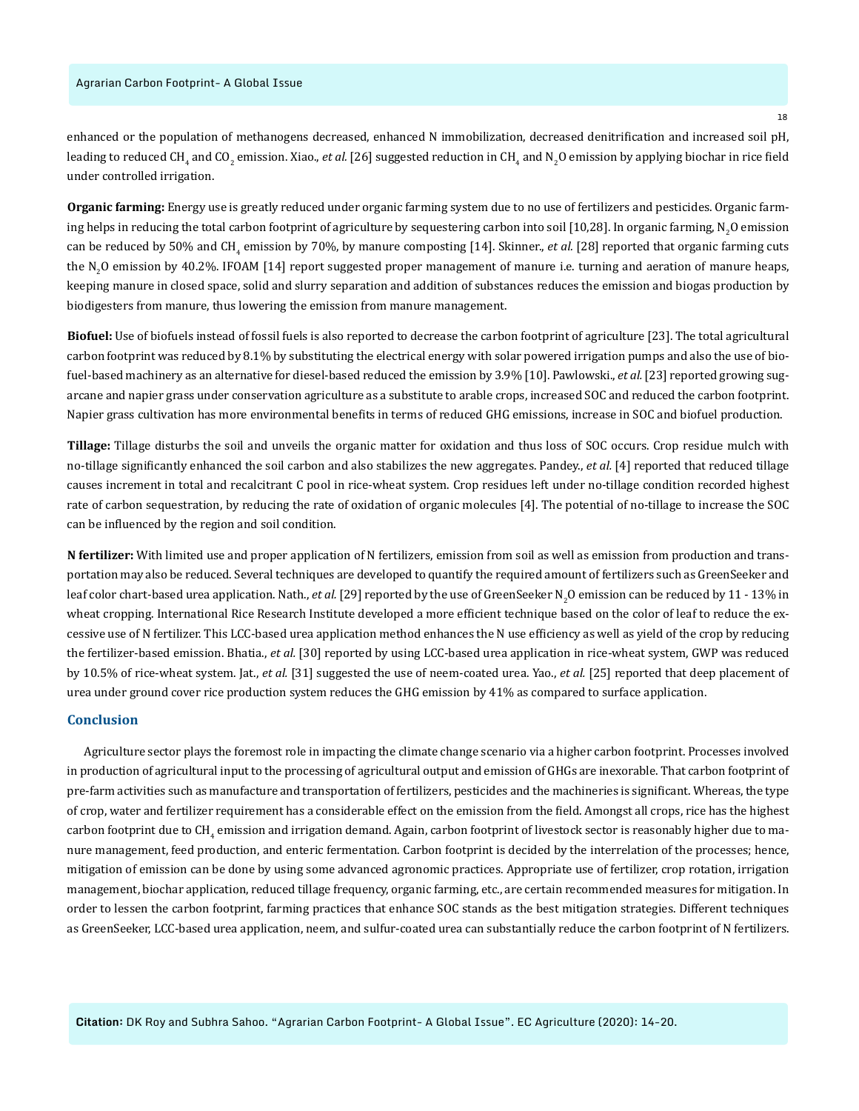enhanced or the population of methanogens decreased, enhanced N immobilization, decreased denitrification and increased soil pH, leading to reduced CH<sub>4</sub> and CO<sub>2</sub> emission. Xiao., *et al*. [26] suggested reduction in CH<sub>4</sub> and N<sub>2</sub>O emission by applying biochar in rice field under controlled irrigation.

**Organic farming:** Energy use is greatly reduced under organic farming system due to no use of fertilizers and pesticides. Organic farming helps in reducing the total carbon footprint of agriculture by sequestering carbon into soil [10,28]. In organic farming, N<sub>2</sub>O emission can be reduced by 50% and CH<sub>4</sub> emission by 70%, by manure composting [14]. Skinner., *et al.* [28] reported that organic farming cuts the N<sub>2</sub>O emission by 40.2%. IFOAM [14] report suggested proper management of manure i.e. turning and aeration of manure heaps, keeping manure in closed space, solid and slurry separation and addition of substances reduces the emission and biogas production by biodigesters from manure, thus lowering the emission from manure management.

**Biofuel:** Use of biofuels instead of fossil fuels is also reported to decrease the carbon footprint of agriculture [23]. The total agricultural carbon footprint was reduced by 8.1% by substituting the electrical energy with solar powered irrigation pumps and also the use of biofuel-based machinery as an alternative for diesel-based reduced the emission by 3.9% [10]. Pawlowski., *et al.* [23] reported growing sugarcane and napier grass under conservation agriculture as a substitute to arable crops, increased SOC and reduced the carbon footprint. Napier grass cultivation has more environmental benefits in terms of reduced GHG emissions, increase in SOC and biofuel production.

**Tillage:** Tillage disturbs the soil and unveils the organic matter for oxidation and thus loss of SOC occurs. Crop residue mulch with no-tillage significantly enhanced the soil carbon and also stabilizes the new aggregates. Pandey., *et al.* [4] reported that reduced tillage causes increment in total and recalcitrant C pool in rice-wheat system. Crop residues left under no-tillage condition recorded highest rate of carbon sequestration, by reducing the rate of oxidation of organic molecules [4]. The potential of no-tillage to increase the SOC can be influenced by the region and soil condition.

**N fertilizer:** With limited use and proper application of N fertilizers, emission from soil as well as emission from production and transportation may also be reduced. Several techniques are developed to quantify the required amount of fertilizers such as GreenSeeker and leaf color chart-based urea application. Nath., *et al.* [29] reported by the use of GreenSeeker N<sub>2</sub>O emission can be reduced by 11 - 13% in wheat cropping. International Rice Research Institute developed a more efficient technique based on the color of leaf to reduce the excessive use of N fertilizer. This LCC-based urea application method enhances the N use efficiency as well as yield of the crop by reducing the fertilizer-based emission. Bhatia., *et al.* [30] reported by using LCC-based urea application in rice-wheat system, GWP was reduced by 10.5% of rice-wheat system. Jat., *et al.* [31] suggested the use of neem-coated urea. Yao., *et al.* [25] reported that deep placement of urea under ground cover rice production system reduces the GHG emission by 41% as compared to surface application.

## **Conclusion**

Agriculture sector plays the foremost role in impacting the climate change scenario via a higher carbon footprint. Processes involved in production of agricultural input to the processing of agricultural output and emission of GHGs are inexorable. That carbon footprint of pre-farm activities such as manufacture and transportation of fertilizers, pesticides and the machineries is significant. Whereas, the type of crop, water and fertilizer requirement has a considerable effect on the emission from the field. Amongst all crops, rice has the highest carbon footprint due to CH<sub>4</sub> emission and irrigation demand. Again, carbon footprint of livestock sector is reasonably higher due to manure management, feed production, and enteric fermentation. Carbon footprint is decided by the interrelation of the processes; hence, mitigation of emission can be done by using some advanced agronomic practices. Appropriate use of fertilizer, crop rotation, irrigation management, biochar application, reduced tillage frequency, organic farming, etc., are certain recommended measures for mitigation. In order to lessen the carbon footprint, farming practices that enhance SOC stands as the best mitigation strategies. Different techniques as GreenSeeker, LCC-based urea application, neem, and sulfur-coated urea can substantially reduce the carbon footprint of N fertilizers.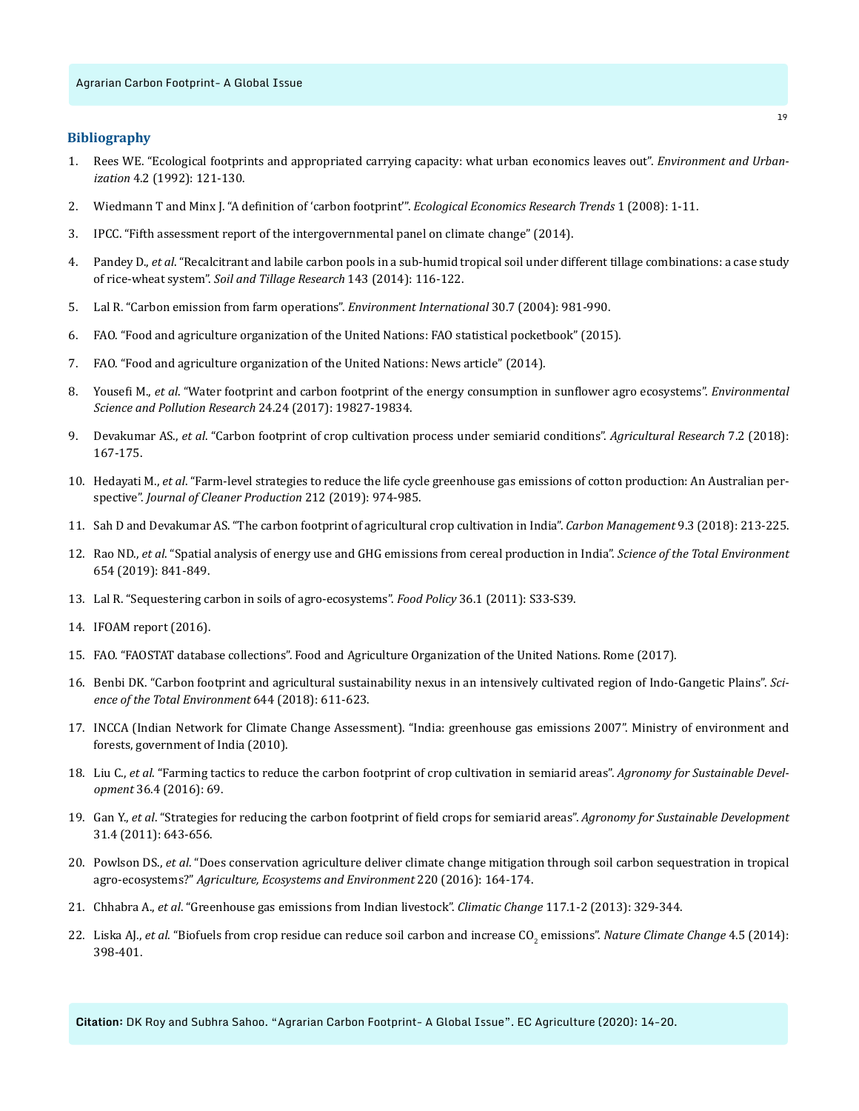# **Bibliography**

- 1. [Rees WE. "Ecological footprints and appropriated carrying capacity: what urban economics leaves out".](https://journals.sagepub.com/doi/10.1177/095624789200400212) *Environment and Urbanization* [4.2 \(1992\): 121-130.](https://journals.sagepub.com/doi/10.1177/095624789200400212)
- 2. [Wiedmann T and Minx J. "A definition of 'carbon footprint'".](https://www.researchgate.net/publication/247152314_A_Definition_of_Carbon_Footprint) *Ecological Economics Research Trends* 1 (2008): 1-11.
- 3. [IPCC. "Fifth assessment report of the intergovernmental panel on climate change" \(2014\).](http://www.ipcc.ch/report/ar5/)
- 4. Pandey D., *et al*[. "Recalcitrant and labile carbon pools in a sub-humid tropical soil under different tillage combinations: a case study](https://www.sciencedirect.com/science/article/pii/S0167198714001159)  of rice-wheat system". *[Soil and Tillage Research](https://www.sciencedirect.com/science/article/pii/S0167198714001159)* 143 (2014): 116-122.
- 5. [Lal R. "Carbon emission from farm operations".](https://www.sciencedirect.com/science/article/pii/S0160412004000832) *Environment International* 30.7 (2004): 981-990.
- 6. [FAO. "Food and agriculture organization of the United Nations: FAO statistical pocketbook" \(2015\).](http://www.fao.org/3/a-i4691e.pdf)
- 7. [FAO. "Food and agriculture organization of the United Nations: News article" \(2014\).](http://www.fao.org/news/story/en/item/216137/icode/)
- 8. Yousefi M., *et al*[. "Water footprint and carbon footprint of the energy consumption in sunflower agro ecosystems".](https://www.ncbi.nlm.nih.gov/pubmed/28685342) *Environmental [Science and Pollution Research](https://www.ncbi.nlm.nih.gov/pubmed/28685342)* 24.24 (2017): 19827-19834.
- 9. Devakumar AS., *et al*[. "Carbon footprint of crop cultivation process under semiarid conditions".](https://link.springer.com/article/10.1007/s40003-018-0315-9) *Agricultural Research* 7.2 (2018): [167-175.](https://link.springer.com/article/10.1007/s40003-018-0315-9)
- 10. Hedayati M., *et al*[. "Farm-level strategies to reduce the life cycle greenhouse gas emissions of cotton production: An Australian per](https://www.sciencedirect.com/science/article/pii/S0959652618335935)spective". *[Journal of Cleaner Production](https://www.sciencedirect.com/science/article/pii/S0959652618335935)* 212 (2019): 974-985.
- 11. [Sah D and Devakumar AS. "The carbon footprint of agricultural crop cultivation in India".](https://www.tandfonline.com/doi/abs/10.1080/17583004.2018.1457908) *Carbon Management* 9.3 (2018): 213-225.
- 12. Rao ND., *et al*[. "Spatial analysis of energy use and GHG emissions from cereal production in India".](https://www.sciencedirect.com/science/article/pii/S0048969718344255) *Science of the Total Environment*  [654 \(2019\): 841-849.](https://www.sciencedirect.com/science/article/pii/S0048969718344255)
- 13. [Lal R. "Sequestering carbon in soils of agro-ecosystems".](https://www.sciencedirect.com/science/article/abs/pii/S0306919210001454) *Food Policy* 36.1 (2011): S33-S39.
- 14. [IFOAM report \(2016\).](https://www.ifoameu.org/sites/default/files/ifoameu_advocacy_climate_change_report_2016.pdf)
- 15. [FAO. "FAOSTAT database collections". Food and Agriculture Organization of the United Nations. Rome \(2017\).](http://faostat.fao.org)
- 16. [Benbi DK. "Carbon footprint and agricultural sustainability nexus in an intensively cultivated region of Indo-Gangetic Plains".](https://www.ncbi.nlm.nih.gov/pubmed/29990911) *Sci[ence of the Total Environment](https://www.ncbi.nlm.nih.gov/pubmed/29990911)* 644 (2018): 611-623.
- 17. [INCCA \(Indian Network for Climate Change Assessment\). "India: greenhouse gas emissions 2007". Ministry of environment and](https://www.iitr.ac.in/wfw/web_ua_water_for_welfare/water/WRDM/MOEF_India_GHG_Emis_2010.pdf)  [forests, government of India \(2010\).](https://www.iitr.ac.in/wfw/web_ua_water_for_welfare/water/WRDM/MOEF_India_GHG_Emis_2010.pdf)
- 18. Liu C., *et al*[. "Farming tactics to reduce the carbon footprint of crop cultivation in semiarid areas".](https://link.springer.com/article/10.1007/s13593-016-0404-8) *Agronomy for Sustainable Development* [36.4 \(2016\): 69.](https://link.springer.com/article/10.1007/s13593-016-0404-8)
- 19. Gan Y., *et al*[. "Strategies for reducing the carbon footprint of field crops for semiarid areas".](https://link.springer.com/article/10.1007/s13593-011-0011-7) *Agronomy for Sustainable Development*  [31.4 \(2011\): 643-656.](https://link.springer.com/article/10.1007/s13593-011-0011-7)
- 20. Powlson DS., *et al*[. "Does conservation agriculture deliver climate change mitigation through soil carbon sequestration in tropical](https://www.sciencedirect.com/science/article/abs/pii/S0167880916300056)  agro-ecosystems?" *[Agriculture, Ecosystems and Environment](https://www.sciencedirect.com/science/article/abs/pii/S0167880916300056)* 220 (2016): 164-174.
- 21. Chhabra A., *et al*[. "Greenhouse gas emissions from Indian livestock".](https://link.springer.com/article/10.1007/s10584-012-0556-8) *Climatic Change* 117.1-2 (2013): 329-344.
- 22. Liska AJ., *et al*[. "Biofuels from crop residue can reduce soil carbon and increase CO](https://www.nature.com/articles/nclimate2187)<sub>2</sub> emissions". *Nature Climate Change* 4.5 (2014): [398-401.](https://www.nature.com/articles/nclimate2187)

**Citation:** DK Roy and Subhra Sahoo. "Agrarian Carbon Footprint- A Global Issue". EC Agriculture (2020): 14-20.